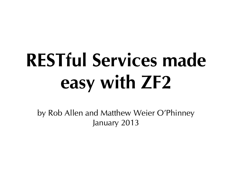# **RESTful Services made easy with ZF2**

by Rob Allen and Matthew Weier O'Phinney January 2013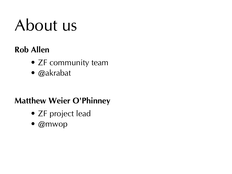#### About us

#### **Rob Allen**

- ZF community team
- @akrabat

#### **Matthew Weier O'Phinney**

- ZF project lead
- @mwop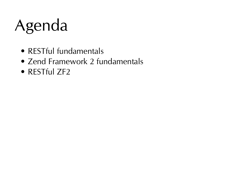#### Agenda

- RESTful fundamentals
- Zend Framework 2 fundamentals
- RESTful ZF2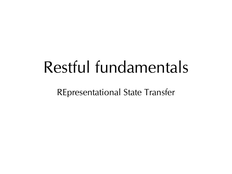#### Restful fundamentals

REpresentational State Transfer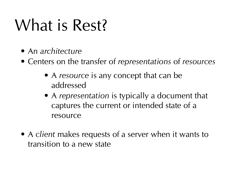#### What is Rest?

- An architecture
- Centers on the transfer of representations of resources
	- A resource is any concept that can be addressed
	- A representation is typically a document that captures the current or intended state of a resource
- A client makes requests of a server when it wants to transition to a new state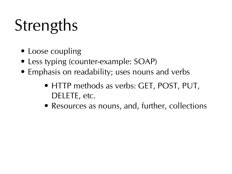## **Strengths**

- Loose coupling
- Less typing (counter-example: SOAP)
- Emphasis on readability; uses nouns and verbs
	- HTTP methods as verbs: GET, POST, PUT, DELETE, etc.
	- Resources as nouns, and, further, collections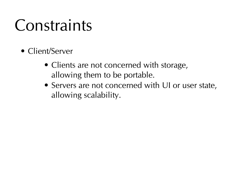- Client/Server
	- Clients are not concerned with storage, allowing them to be portable.
	- Servers are not concerned with UI or user state, allowing scalability.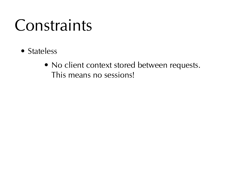- Stateless
	- No client context stored between requests. This means no sessions!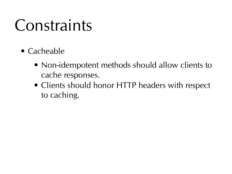- Cacheable
	- Non-idempotent methods should allow clients to cache responses.
	- Clients should honor HTTP headers with respect to caching.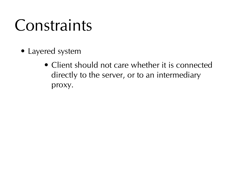- Layered system
	- Client should not care whether it is connected directly to the server, or to an intermediary proxy.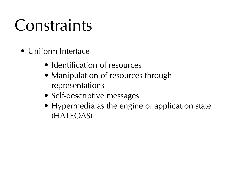- Uniform Interface
	- Identification of resources
	- Manipulation of resources through representations
	- Self-descriptive messages
	- Hypermedia as the engine of application state (HATEOAS)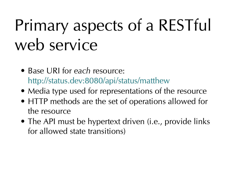## Primary aspects of a RESTful web service

- Base URI for each resource: <http://status.dev:8080/api/status/matthew>
- Media type used for representations of the resource
- HTTP methods are the set of operations allowed for the resource
- The API must be hypertext driven (*i.e.*, provide links for allowed state transitions)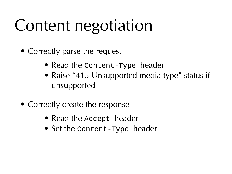#### Content negotiation

- Correctly parse the request
	- Read the Content-Type header
	- Raise "415 Unsupported media type" status if unsupported
- Correctly create the response
	- Read the Accept header
	- Set the Content-Type header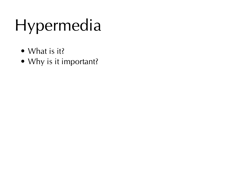## Hypermedia

- What is it?
- Why is it important?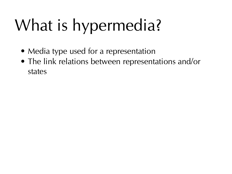## What is hypermedia?

- Media type used for a representation
- The link relations between representations and/or states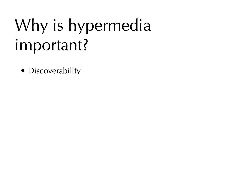## Why is hypermedia important?

• Discoverability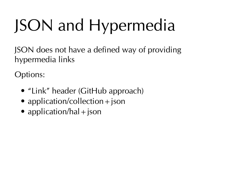## JSON and Hypermedia

JSON does not have a defined way of providing hypermedia links

Options:

- "Link" header (GitHub approach)
- application/collection  $+$  json
- application/hal  $+$  json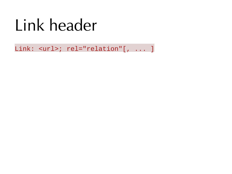#### Link header

Link: <url>; rel="relation"[, ... ]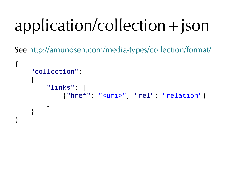## application/collection+json

See <http://amundsen.com/media-types/collection/format/>

```
{
     "collection":
     {
        "links":
             {"href": "<uri>", "rel": "relation"}
 ]
     }
}
```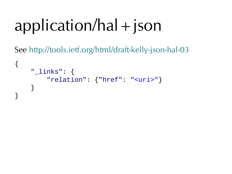## application/hal+json

See <http://tools.ietf.org/html/draft-kelly-json-hal-03>

```
{
     "_links": {
          "relation": {"href": "<uri>"}
     }
}
```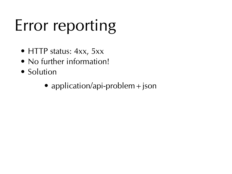## Error reporting

- HTTP status: 4xx, 5xx
- No further information!
- Solution
	- application/api-problem  $+$  json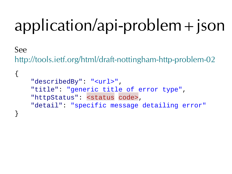## application/api-problem+json

#### See

<http://tools.ietf.org/html/draft-nottingham-http-problem-02>

```
{
     "describedBy": "<url>",
     "title": "generic title of error type",
     "httpStatus": <status code>,
     "detail": "specific message detailing error"
}
```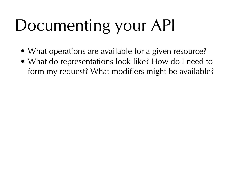## Documenting your API

- What operations are available for a given resource?
- What do representations look like? How do I need to form my request? What modifiers might be available?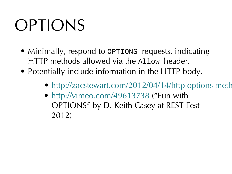#### **OPTIONS**

- Minimally, respond to OPTIONS requests, indicating HTTP methods allowed via the Allow header.
- Potentially include information in the HTTP body.
	- http://zacstewart.com/2012/04/14/http-options-meth
	- [http://vimeo.com/49613738 \(](http://vimeo.com/49613738)"Fun with OPTIONS" by D. Keith Casey at REST Fest 2012)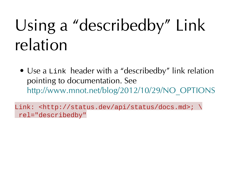## Using a "describedby" Link relation

• Use a Link header with a "describedby" link relation pointing to documentation. See [http://www.mnot.net/blog/2012/10/29/NO\\_OPTIONS](http://www.mnot.net/blog/2012/10/29/NO_OPTIONS)

Link: <http://status.dev/api/status/docs.md>; \ rel="describedby"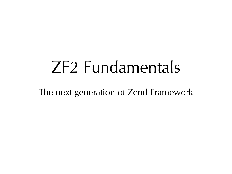#### ZF2 Fundamentals

The next generation of Zend Framework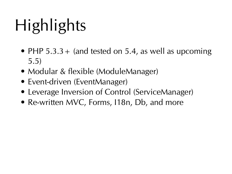## **Highlights**

- PHP  $5.3.3+$  (and tested on 5.4, as well as upcoming 5.5)
- Modular & flexible (ModuleManager)
- Event-driven (EventManager)
- Leverage Inversion of Control (ServiceManager)
- Re-written MVC, Forms, 118n, Db, and more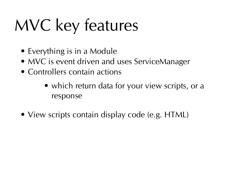## MVC key features

- Everything is in a Module
- MVC is event driven and uses ServiceManager
- Controllers contain actions
	- which return data for your view scripts, or a response
- View scripts contain display code (e.g. HTML)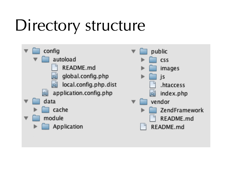#### Directory structure

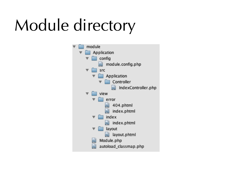## Module directory

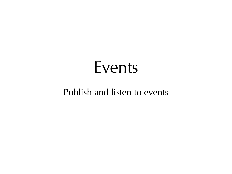#### Events

#### Publish and listen to events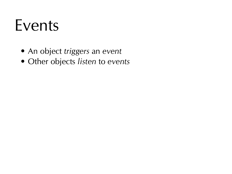#### Events

- An object triggers an event
- Other objects listen to events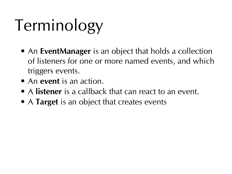## Terminology

- An **EventManager** is an object that holds a collection of listeners for one or more named events, and which triggers events.
- An **event** is an action.
- A **listener** is a callback that can react to an event.
- A **Target** is an object that creates events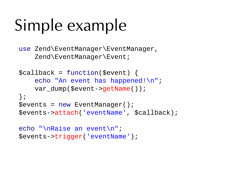## Simple example

use Zend\EventManager\EventManager, Zend\EventManager\Event;

```
$callback = function($event) {
    echo "An event has happened!\n";
    var dump($event->getName());
};
$events = new EventManager();
$events->attach('eventName', $callback);
echo "\nRaise an event\n";
```

```
$events->trigger('eventName');
```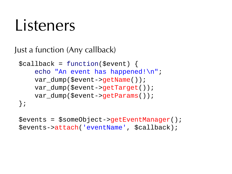#### l isteners

Just a function (Any callback)

```
$callback = function($event) {
    echo "An event has happened!\n";
    var dump($event->getName());
    var dump($event->getTarget());
    var dump($event->getParams());
};
```

```
$events = $someObject->getEventManager();
$events->attach('eventName', $callback);
```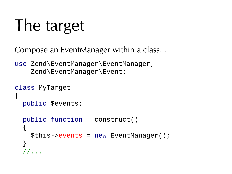#### The target

Compose an EventManager within a class…

use Zend\EventManager\EventManager, Zend\EventManager\Event;

```
class MyTarget
{
   public $events;
   public function __construct()
\{$this ->events = new EventManager();
   }
   //...
```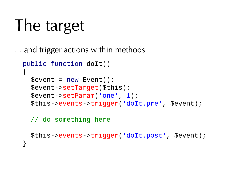```
The target
```
… and trigger actions within methods.

```
 public function doIt()
 {
  $event = new Event();
   $event->setTarget($this);
   $event->setParam('one', 1);
   $this->events->trigger('doIt.pre', $event);
```
// do something here

```
 $this->events->trigger('doIt.post', $event);
 }
```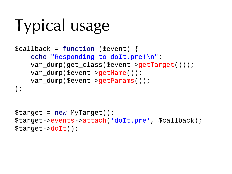# Typical usage

```
$callback = function ($event) {
    echo "Responding to doIt.pre!\n";
     var_dump(get_class($event->getTarget()));
    var dump($event->getName());
    var dump($event->getParams());
};
```

```
$target = new MyTarget();
$target->events->attach('doIt.pre', $callback);
$target->doIt();
```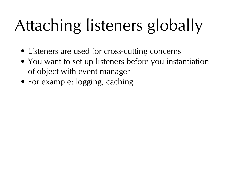# Attaching listeners globally

- Listeners are used for cross-cutting concerns
- You want to set up listeners before you instantiation of object with event manager
- For example: logging, caching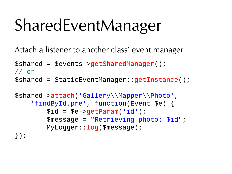## SharedEventManager

Attach a listener to another class' event manager

```
$shared = $events->getSharedManager();
// or
$shared = StaticEventManager::getInstance();
```

```
$shared->attach('Gallery\\Mapper\\Photo',
     'findById.pre', function(Event $e) {
        $id = $e->qetParam('id');
         $message = "Retrieving photo: $id";
         MyLogger::log($message);
});
```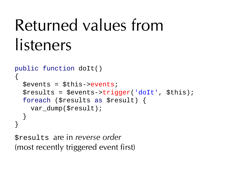## Returned values from listeners

```
public function doIt()
{
   $events = $this->events;
   $results = $events->trigger('doIt', $this);
   foreach ($results as $result) {
    var dump($result);
   }
}
```
\$results are in reverse order (most recently triggered event first)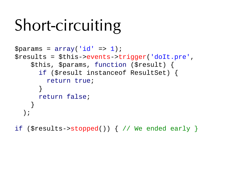## Short-circuiting

```
$params = array('id' = > 1);$results = $this->events->trigger('doIt.pre',
     $this, $params, function ($result) {
       if ($result instanceof ResultSet) {
         return true;
       }
       return false;
 }
 );
```
if (\$results- $\gt$ stopped()) { // We ended early }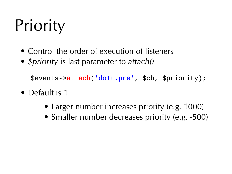# **Priority**

- Control the order of execution of listeners
- *\$priority* is last parameter to attach()

```
 $events->attach('doIt.pre', $cb, $priority);
```
- Default is 1
	- Larger number increases priority (e.g. 1000)
	- Smaller number decreases priority (e.g. -500)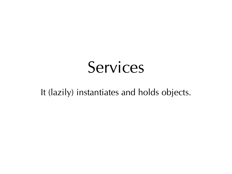#### Services

It (lazily) instantiates and holds objects.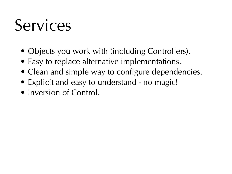#### Services

- Objects you work with (including Controllers).
- Easy to replace alternative implementations.
- Clean and simple way to configure dependencies.
- Explicit and easy to understand no magic!
- Inversion of Control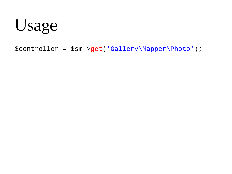#### Usage

\$controller = \$sm->get('Gallery\Mapper\Photo');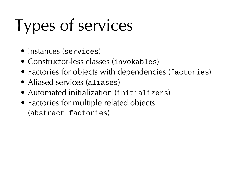# Types of services

- Instances (services)
- Constructor-less classes (invokables)
- Factories for objects with dependencies (factories)
- Aliased services (aliases)
- Automated initialization (initializers)
- Factories for multiple related objects (abstract\_factories)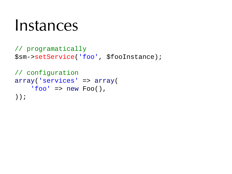#### Instances

```
// programatically
$sm->setService('foo', $fooInstance);
```

```
// configuration
array('services' => array(
    'foo' => new Foo(),
));
```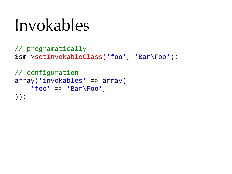## Invokables

```
// programatically
$sm->setInvokableClass('foo', 'Bar\Foo');
```

```
// configuration
array('invokables' => array(
    'foo' => 'Bar\F{00}',
));
```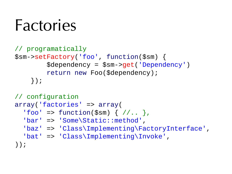#### Factories

```
// programatically
$sm->setFactory('foo', function($sm) {
         $dependency = $sm->get('Dependency')
         return new Foo($dependency);
     });
// configuration
array('factories' => array(
```

```
' foo' => function($sm) { //. },
```

```
 'bar' => 'Some\Static::method',
```

```
 'baz' => 'Class\Implementing\FactoryInterface',
```

```
 'bat' => 'Class\Implementing\Invoke',
```
));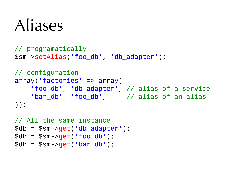#### Aliases

```
// programatically
$sm->setAlias('foo_db', 'db_adapter');
// configuration
array('factories' => array(
     'foo_db', 'db_adapter', // alias of a service
    'bar_db', 'foo_db', // alias of an alias
));
```

```
// All the same instance
$db = $sm - qet('db adapter');\delta db = \frac{\delta m}{\delta} = \frac{\delta m}{\delta}\delta db = \frac{\delta m}{\delta} = \frac{\delta m}{\delta} = \frac{\delta m}{\delta}
```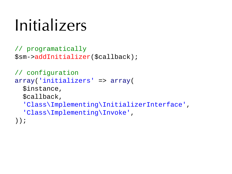#### Initializers

```
// programatically
$sm->addInitializer($callback);
```

```
// configuration
array('initializers' => array(
   $instance,
   $callback,
   'Class\Implementing\InitializerInterface',
   'Class\Implementing\Invoke',
));
```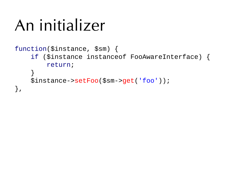## An initializer

#### function(\$instance, \$sm) { if (\$instance instanceof FooAwareInterface) { return; } \$instance->setFoo(\$sm->get('foo')); },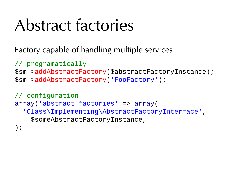## Abstract factories

Factory capable of handling multiple services

```
// programatically
$sm->addAbstractFactory($abstractFactoryInstance);
$sm->addAbstractFactory('FooFactory');
```

```
// configuration
array('abstract_factories' => array(
   'Class\Implementing\AbstractFactoryInterface',
     $someAbstractFactoryInstance,
);
```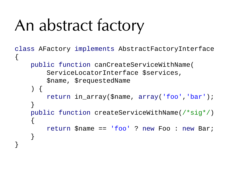## An abstract factory

```
class AFactory implements AbstractFactoryInterface
{
     public function canCreateServiceWithName(
         ServiceLocatorInterface $services,
         $name, $requestedName
     ) {
         return in_array($name, array('foo','bar');
     }
     public function createServiceWithName(/*sig*/)
     {
         return $name == 'foo' ? new Foo : new Bar;
     }
}
```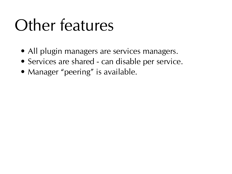## Other features

- All plugin managers are services managers.
- Services are shared can disable per service.
- Manager "peering" is available.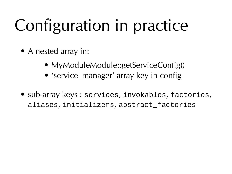## Configuration in practice

- A nested array in:
	- MyModuleModule::getServiceConfig()
	- 'service manager' array key in config
- sub-array keys : services, invokables, factories, aliases, initializers, abstract\_factories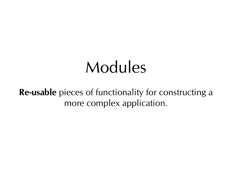#### Modules

**Re-usable** pieces of functionality for constructing a more complex application.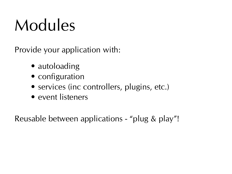## Modules

Provide your application with:

- autoloading
- configuration
- services (inc controllers, plugins, etc.)
- event listeners

Reusable between applications - "plug & play"!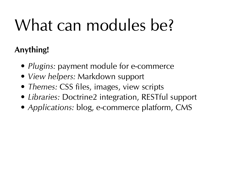# What can modules be?

#### **Anything!**

- *Plugins:* payment module for e-commerce
- View helpers: Markdown support
- Themes: CSS files, images, view scripts
- Libraries: Doctrine2 integration, RESTful support
- Applications: blog, e-commerce platform, CMS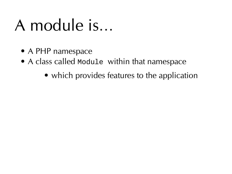## A module is…

- A PHP namespace
- A class called Module within that namespace
	- which provides features to the application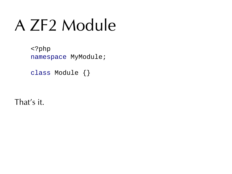## A ZF2 Module

 <?php namespace MyModule;

class Module {}

That's it.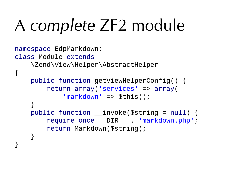## A complete ZF2 module

```
namespace EdpMarkdown;
class Module extends
     \Zend\View\Helper\AbstractHelper
{
     public function getViewHelperConfig() {
         return array('services' => array(
            'markdown' => $this);
     }
     public function __invoke($string = null) {
        require once DIR . 'markdown.php';
         return Markdown($string);
     }
}
```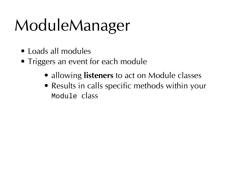# ModuleManager

- Loads all modules
- Triggers an event for each module
	- allowing **listeners** to act on Module classes
	- Results in calls specific methods within your Module class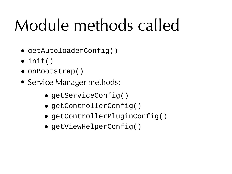# Module methods called

- getAutoloaderConfig()
- $\bullet$  init()
- onBootstrap()
- Service Manager methods:
	- getServiceConfig()
	- getControllerConfig()
	- getControllerPluginConfig()
	- getViewHelperConfig()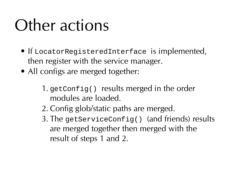## Other actions

- If LocatorRegisteredInterface is implemented, then register with the service manager.
- All configs are merged together:
	- 1. getConfig() results merged in the order modules are loaded.
	- 2. Config glob/static paths are merged.
	- 3. The getServiceConfig() (and friends) results are merged together then merged with the result of steps 1 and 2.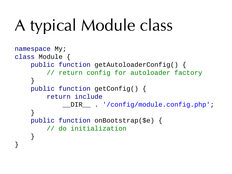# A typical Module class

```
namespace My;
class Module {
     public function getAutoloaderConfig() {
         // return config for autoloader factory
     }
     public function getConfig() {
         return include
                __DIR__ . '/config/module.config.php';
     }
     public function onBootstrap($e) {
         // do initialization
     }
}
```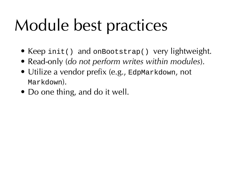# Module best practices

- Keep init() and onBootstrap() very lightweight.
- Read-only (do not perform writes within modules).
- Utilize a vendor prefix (e.g., EdpMarkdown, not Markdown).
- Do one thing, and do it well.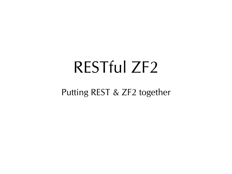#### RESTful ZF2

Putting REST & ZF2 together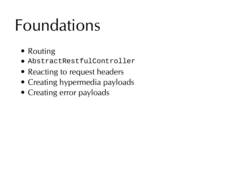## Foundations

- Routing
- AbstractRestfulController
- Reacting to request headers
- Creating hypermedia payloads
- Creating error payloads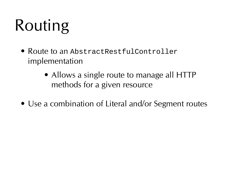# Routing

- Route to an AbstractRestfulController implementation
	- Allows a single route to manage all HTTP methods for a given resource
- Use a combination of Literal and/or Segment routes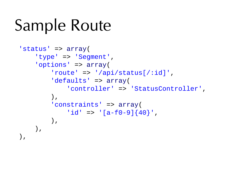## Sample Route

```
'status' => array(
      'type' => 'Segment',
      'options' => array(
          'route' => '/api/status\lceil/:id]',
           'defaults' => array(
                'controller' => 'StatusController',
           ),
           'constraints' => array(
               'id' => '\left[a - f0 - 9\right]\left\{40\right\},
           ),
     ),
),
```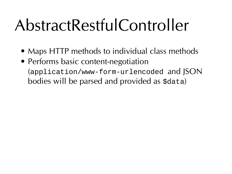### AbstractRestfulController

- Maps HTTP methods to individual class methods
- Performs basic content-negotiation (application/www-form-urlencoded and JSON bodies will be parsed and provided as \$data)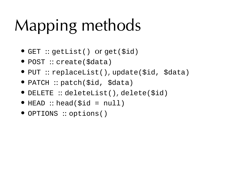## Mapping methods

- GET :: getList() or get(\$id)
- POST :: create(\$data)
- PUT :: replaceList(), update(\$id, \$data)
- PATCH :: patch(\$id, \$data)
- DELETE :: deleteList(), delete(\$id)
- $\bullet$  HEAD :: head(\$id = null)
- OPTIONS :: options()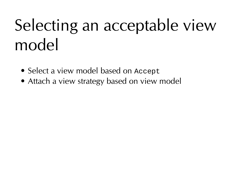## Selecting an acceptable view model

- Select a view model based on Accept
- Attach a view strategy based on view model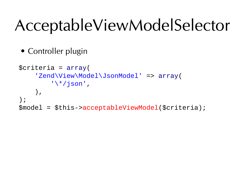#### AcceptableViewModelSelector

• Controller plugin

```
$criteria = array(
     'Zend\View\Model\JsonModel' => array(
          '\*/json',
     ),
);
$model = $this->acceptableViewModel($criteria);
```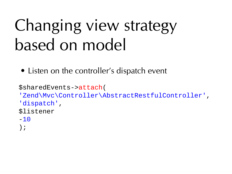#### Changing view strategy based on model

• Listen on the controller's dispatch event

```
$sharedEvents->attach(
'Zend\Mvc\Controller\AbstractRestfulController',
'dispatch',
$listener
-10);
```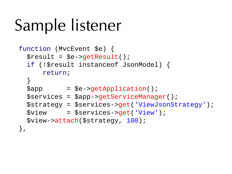## Sample listener

```
function (MvcEvent $e) {
  $result = $e - $qetResult();
   if (!$result instanceof JsonModel) {
       return;
   }
  \text{supp} = $e->getApplication();
   $services = $app->getServiceManager();
   $strategy = $services->get('ViewJsonStrategy');
   $view = $services->get('View');
   $view->attach($strategy, 100);
},
```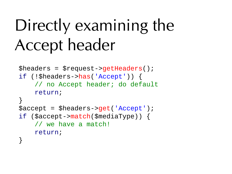#### Directly examining the Accept header

```
\theta)$headers = $request->getHeaders();
if (!$headers->has('Accept')) {
     // no Accept header; do default
     return;
}
$accept = $headers->get('Accept');
if ($accept->match($mediaType)) {
     // we have a match!
     return;
}
```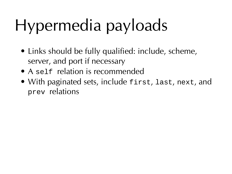## Hypermedia payloads

- Links should be fully qualified: include, scheme, server, and port if necessary
- A self relation is recommended
- With paginated sets, include first, last, next, and prev relations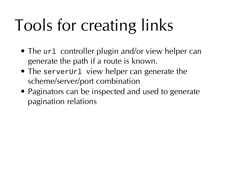## Tools for creating links

- The url controller plugin and/or view helper can generate the path if a route is known.
- The serverUr1 view helper can generate the scheme/server/port combination
- Paginators can be inspected and used to generate pagination relations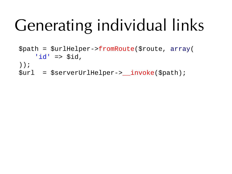## Generating individual links

\$path = \$urlHelper->fromRoute(\$route, array(  $'id'$  => \$id, )); \$url = \$serverUrlHelper->\_\_invoke(\$path);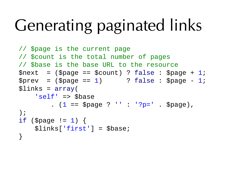## Generating paginated links

```
// $page is the current page
// $count is the total number of pages
// $base is the base URL to the resource
$next = ($page == $count) ? false : $page + 1;
$prev = (\text{Space} == 1) ? false : $page - 1;
$links = array( 'self' => $base
        (1 == \text{Space } ?''': '?\text{p} = ' \text{Space}),);
if ($page != 1) {
    $links['first'] = $base;}
```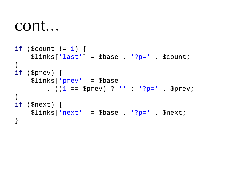#### cont…

```
if ($count != 1) {
    \text{5links}['last'] = \text{6base} . '?p=' . \text{6count};
}
if ($prev) {
    $links['prev'] = $base. ((1 == $prev) ? ' : '?p=' . $prev;
}
if ($next) {
    \text{5links}['next'] = \text{6base}. ?p='. \text{6next};}
```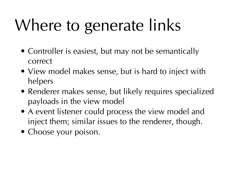# Where to generate links

- Controller is easiest, but may not be semantically correct
- View model makes sense, but is hard to inject with helpers
- Renderer makes sense, but likely requires specialized payloads in the view model
- A event listener could process the view model and inject them; similar issues to the renderer, though.
- Choose your poison.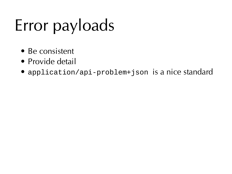## Error payloads

- Be consistent
- Provide detail
- application/api-problem+json is a nice standard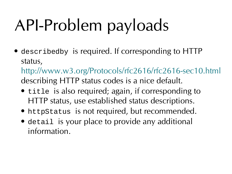## API-Problem payloads

• describedby is required. If corresponding to HTTP status,

<http://www.w3.org/Protocols/rfc2616/rfc2616-sec10.html> describing HTTP status codes is a nice default.

- title is also required; again, if corresponding to HTTP status, use established status descriptions.
- httpStatus is not required, but recommended.
- detail is your place to provide any additional information.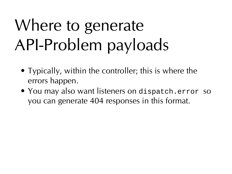## Where to generate API-Problem payloads

- Typically, within the controller; this is where the errors happen.
- You may also want listeners on dispatch.error so you can generate 404 responses in this format.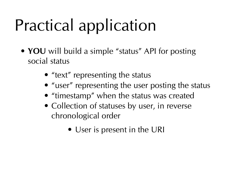## Practical application

- **YOU** will build a simple "status" API for posting social status
	- "text" representing the status
	- "user" representing the user posting the status
	- "timestamp" when the status was created
	- Collection of statuses by user, in reverse chronological order
		- User is present in the URI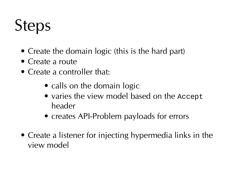#### **Steps**

- Create the domain logic (this is the hard part)
- Create a route
- Create a controller that:
	- calls on the domain logic
	- varies the view model based on the Accept header
	- creates API-Problem payloads for errors
- Create a listener for injecting hypermedia links in the view model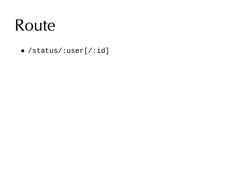#### Route

• /status/:user[/:id]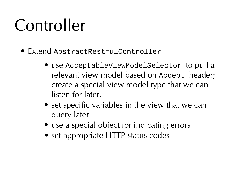#### Controller

- Extend AbstractRestfulController
	- use AcceptableViewModelSelector to pull a relevant view model based on Accept header; create a special view model type that we can listen for later.
	- set specific variables in the view that we can query later
	- use a special object for indicating errors
	- set appropriate HTTP status codes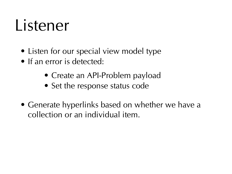#### Listener

- Listen for our special view model type
- If an error is detected:
	- Create an API-Problem payload
	- Set the response status code
- Generate hyperlinks based on whether we have a collection or an individual item.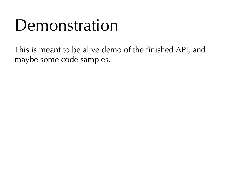#### Demonstration

This is meant to be alive demo of the finished API, and maybe some code samples.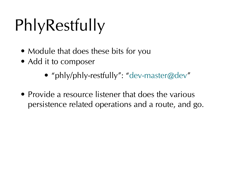## **PhlyRestfully**

- Module that does these bits for you
- Add it to composer
	- "phly/phly-restfully": "[dev-master@dev"](mailto:dev-master@dev)
- Provide a resource listener that does the various persistence related operations and a route, and go.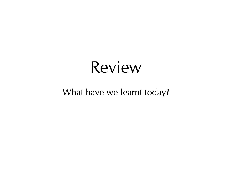#### What have we learnt today?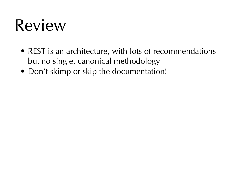- REST is an architecture, with lots of recommendations but no single, canonical methodology
- Don't skimp or skip the documentation!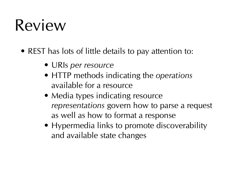- REST has lots of little details to pay attention to:
	- URIs per resource
	- HTTP methods indicating the operations available for a resource
	- Media types indicating resource representations govern how to parse a request as well as how to format a response
	- Hypermedia links to promote discoverability and available state changes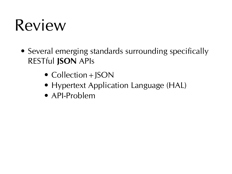- Several emerging standards surrounding specifically RESTful **JSON** APIs
	- Collection + JSON
	- Hypertext Application Language (HAL)
	- API-Problem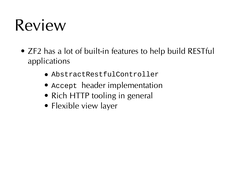- ZF2 has a lot of built-in features to help build RESTful applications
	- AbstractRestfulController
	- Accept header implementation
	- Rich HTTP tooling in general
	- Flexible view layer